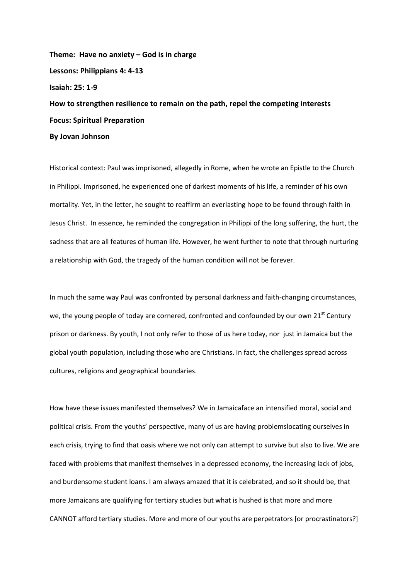**Theme: Have no anxiety – God is in charge Lessons: Philippians 4: 4-13 Isaiah: 25: 1-9 How to strengthen resilience to remain on the path, repel the competing interests Focus: Spiritual Preparation By Jovan Johnson**

Historical context: Paul was imprisoned, allegedly in Rome, when he wrote an Epistle to the Church in Philippi. Imprisoned, he experienced one of darkest moments of his life, a reminder of his own mortality. Yet, in the letter, he sought to reaffirm an everlasting hope to be found through faith in Jesus Christ. In essence, he reminded the congregation in Philippi of the long suffering, the hurt, the sadness that are all features of human life. However, he went further to note that through nurturing a relationship with God, the tragedy of the human condition will not be forever.

In much the same way Paul was confronted by personal darkness and faith-changing circumstances, we, the young people of today are cornered, confronted and confounded by our own 21<sup>st</sup> Century prison or darkness. By youth, I not only refer to those of us here today, nor just in Jamaica but the global youth population, including those who are Christians. In fact, the challenges spread across cultures, religions and geographical boundaries.

How have these issues manifested themselves? We in Jamaicaface an intensified moral, social and political crisis. From the youths' perspective, many of us are having problemslocating ourselves in each crisis, trying to find that oasis where we not only can attempt to survive but also to live. We are faced with problems that manifest themselves in a depressed economy, the increasing lack of jobs, and burdensome student loans. I am always amazed that it is celebrated, and so it should be, that more Jamaicans are qualifying for tertiary studies but what is hushed is that more and more CANNOT afford tertiary studies. More and more of our youths are perpetrators [or procrastinators?]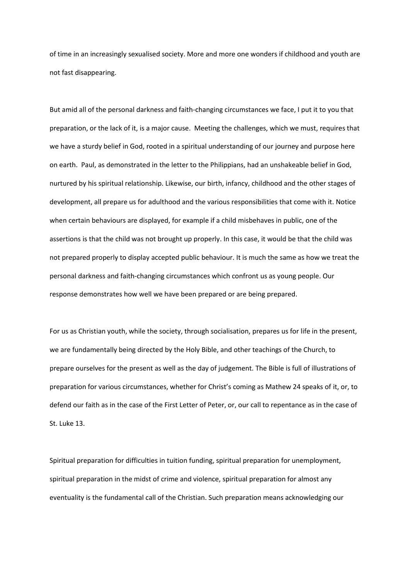of time in an increasingly sexualised society. More and more one wonders if childhood and youth are not fast disappearing.

But amid all of the personal darkness and faith-changing circumstances we face, I put it to you that preparation, or the lack of it, is a major cause. Meeting the challenges, which we must, requires that we have a sturdy belief in God, rooted in a spiritual understanding of our journey and purpose here on earth. Paul, as demonstrated in the letter to the Philippians, had an unshakeable belief in God, nurtured by his spiritual relationship. Likewise, our birth, infancy, childhood and the other stages of development, all prepare us for adulthood and the various responsibilities that come with it. Notice when certain behaviours are displayed, for example if a child misbehaves in public, one of the assertions is that the child was not brought up properly. In this case, it would be that the child was not prepared properly to display accepted public behaviour. It is much the same as how we treat the personal darkness and faith-changing circumstances which confront us as young people. Our response demonstrates how well we have been prepared or are being prepared.

For us as Christian youth, while the society, through socialisation, prepares us for life in the present, we are fundamentally being directed by the Holy Bible, and other teachings of the Church, to prepare ourselves for the present as well as the day of judgement. The Bible is full of illustrations of preparation for various circumstances, whether for Christ's coming as Mathew 24 speaks of it, or, to defend our faith as in the case of the First Letter of Peter, or, our call to repentance as in the case of St. Luke 13.

Spiritual preparation for difficulties in tuition funding, spiritual preparation for unemployment, spiritual preparation in the midst of crime and violence, spiritual preparation for almost any eventuality is the fundamental call of the Christian. Such preparation means acknowledging our